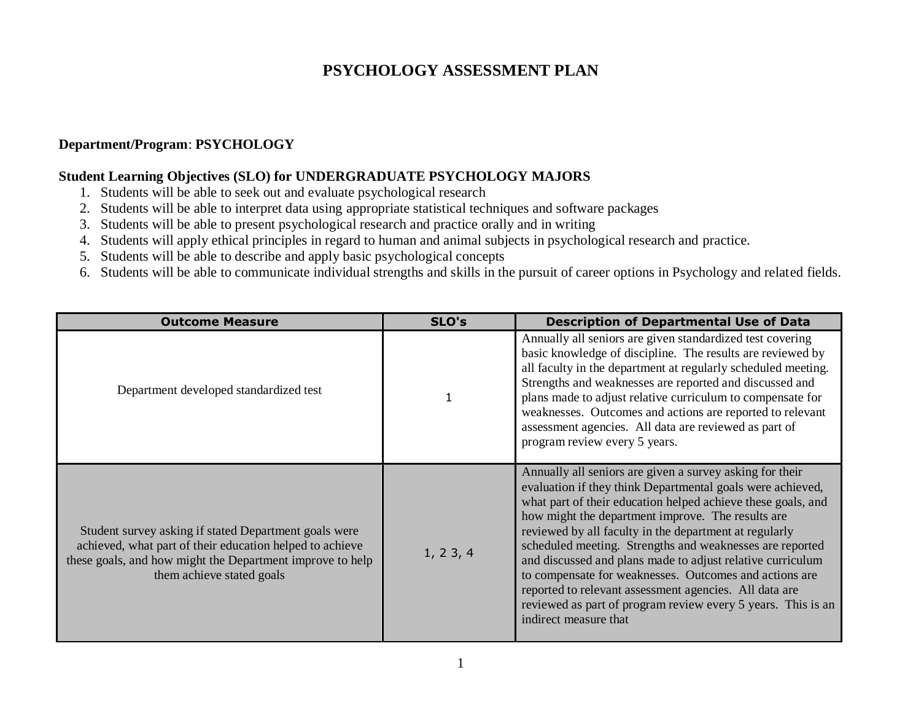## **PSYCHOLOGY ASSESSMENT PLAN**

## **Department/Program**: **PSYCHOLOGY**

## **Student Learning Objectives (SLO) for UNDERGRADUATE PSYCHOLOGY MAJORS**

- 1. Students will be able to seek out and evaluate psychological research
- 2. Students will be able to interpret data using appropriate statistical techniques and software packages
- 3. Students will be able to present psychological research and practice orally and in writing
- 4. Students will apply ethical principles in regard to human and animal subjects in psychological research and practice.
- 5. Students will be able to describe and apply basic psychological concepts
- 6. Students will be able to communicate individual strengths and skills in the pursuit of career options in Psychology and related fields.

| <b>Outcome Measure</b>                                                                                                                                                                                      | SLO's    | <b>Description of Departmental Use of Data</b>                                                                                                                                                                                                                                                                                                                                                                                                                                                                                                                                                                                               |
|-------------------------------------------------------------------------------------------------------------------------------------------------------------------------------------------------------------|----------|----------------------------------------------------------------------------------------------------------------------------------------------------------------------------------------------------------------------------------------------------------------------------------------------------------------------------------------------------------------------------------------------------------------------------------------------------------------------------------------------------------------------------------------------------------------------------------------------------------------------------------------------|
| Department developed standardized test                                                                                                                                                                      |          | Annually all seniors are given standardized test covering<br>basic knowledge of discipline. The results are reviewed by<br>all faculty in the department at regularly scheduled meeting.<br>Strengths and weaknesses are reported and discussed and<br>plans made to adjust relative curriculum to compensate for<br>weaknesses. Outcomes and actions are reported to relevant<br>assessment agencies. All data are reviewed as part of<br>program review every 5 years.                                                                                                                                                                     |
| Student survey asking if stated Department goals were<br>achieved, what part of their education helped to achieve<br>these goals, and how might the Department improve to help<br>them achieve stated goals | 1, 23, 4 | Annually all seniors are given a survey asking for their<br>evaluation if they think Departmental goals were achieved,<br>what part of their education helped achieve these goals, and<br>how might the department improve. The results are<br>reviewed by all faculty in the department at regularly<br>scheduled meeting. Strengths and weaknesses are reported<br>and discussed and plans made to adjust relative curriculum<br>to compensate for weaknesses. Outcomes and actions are<br>reported to relevant assessment agencies. All data are<br>reviewed as part of program review every 5 years. This is an<br>indirect measure that |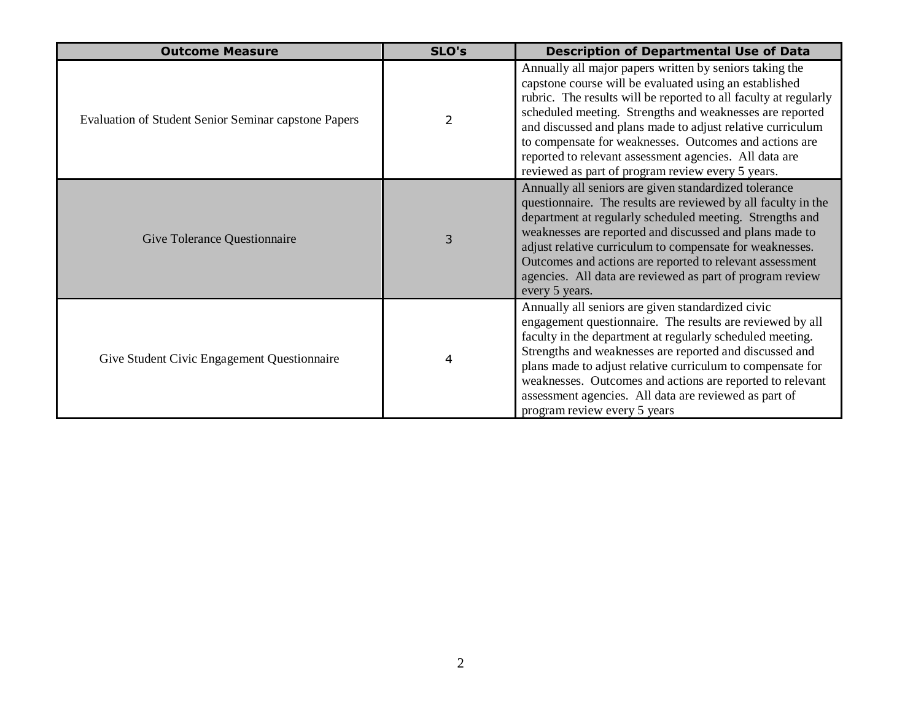| <b>Outcome Measure</b>                                      | SLO's | <b>Description of Departmental Use of Data</b>                                                                                                                                                                                                                                                                                                                                                                                                                                           |  |
|-------------------------------------------------------------|-------|------------------------------------------------------------------------------------------------------------------------------------------------------------------------------------------------------------------------------------------------------------------------------------------------------------------------------------------------------------------------------------------------------------------------------------------------------------------------------------------|--|
| <b>Evaluation of Student Senior Seminar capstone Papers</b> | 2     | Annually all major papers written by seniors taking the<br>capstone course will be evaluated using an established<br>rubric. The results will be reported to all faculty at regularly<br>scheduled meeting. Strengths and weaknesses are reported<br>and discussed and plans made to adjust relative curriculum<br>to compensate for weaknesses. Outcomes and actions are<br>reported to relevant assessment agencies. All data are<br>reviewed as part of program review every 5 years. |  |
| <b>Give Tolerance Questionnaire</b>                         | 3     | Annually all seniors are given standardized tolerance<br>questionnaire. The results are reviewed by all faculty in the<br>department at regularly scheduled meeting. Strengths and<br>weaknesses are reported and discussed and plans made to<br>adjust relative curriculum to compensate for weaknesses.<br>Outcomes and actions are reported to relevant assessment<br>agencies. All data are reviewed as part of program review<br>every 5 years.                                     |  |
| Give Student Civic Engagement Questionnaire                 | 4     | Annually all seniors are given standardized civic<br>engagement questionnaire. The results are reviewed by all<br>faculty in the department at regularly scheduled meeting.<br>Strengths and weaknesses are reported and discussed and<br>plans made to adjust relative curriculum to compensate for<br>weaknesses. Outcomes and actions are reported to relevant<br>assessment agencies. All data are reviewed as part of<br>program review every 5 years                               |  |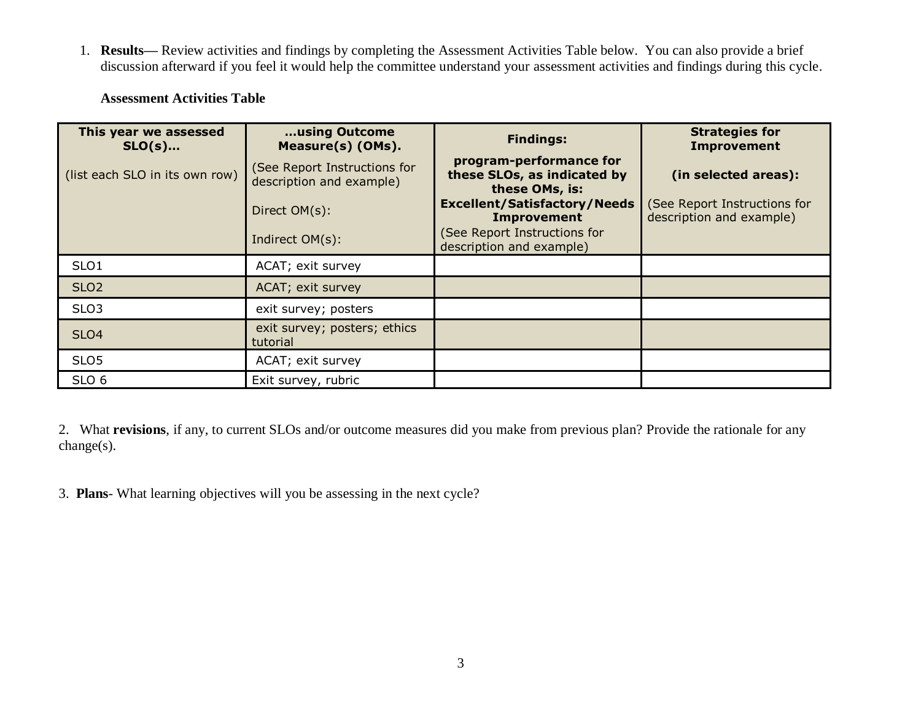1. **Results—** Review activities and findings by completing the Assessment Activities Table below. You can also provide a brief discussion afterward if you feel it would help the committee understand your assessment activities and findings during this cycle.

| This year we assessed<br>$SLO(s)$ | using Outcome<br>Measure(s) (OMs).                       | <b>Findings:</b>                                                         | <b>Strategies for</b><br><b>Improvement</b>              |
|-----------------------------------|----------------------------------------------------------|--------------------------------------------------------------------------|----------------------------------------------------------|
| (list each SLO in its own row)    | (See Report Instructions for<br>description and example) | program-performance for<br>these SLOs, as indicated by<br>these OMs, is: | (in selected areas):                                     |
|                                   | Direct OM(s):                                            | <b>Excellent/Satisfactory/Needs</b><br><b>Improvement</b>                | (See Report Instructions for<br>description and example) |
|                                   | Indirect OM(s):                                          | (See Report Instructions for<br>description and example)                 |                                                          |
| SLO1                              | ACAT; exit survey                                        |                                                                          |                                                          |
| SLO <sub>2</sub>                  | ACAT; exit survey                                        |                                                                          |                                                          |
| SLO <sub>3</sub>                  | exit survey; posters                                     |                                                                          |                                                          |
| SLO <sub>4</sub>                  | exit survey; posters; ethics<br>tutorial                 |                                                                          |                                                          |
| SLO <sub>5</sub>                  | ACAT; exit survey                                        |                                                                          |                                                          |
| SLO <sub>6</sub>                  | Exit survey, rubric                                      |                                                                          |                                                          |

## **Assessment Activities Table**

2. What **revisions**, if any, to current SLOs and/or outcome measures did you make from previous plan? Provide the rationale for any change(s).

3. **Plans**- What learning objectives will you be assessing in the next cycle?